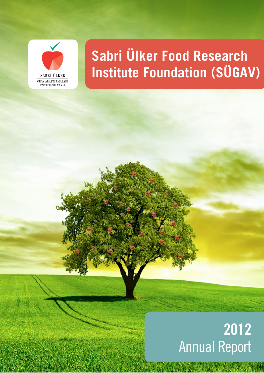

## **Sabri Ülker Food Research Institute Foundation (SÜGAV)**

# **2012**  Annual Report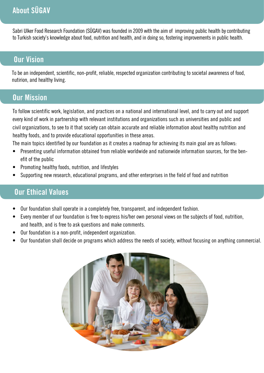## **About SÜGAV**

Sabri Ulker Food Research Foundation (SÜGAV) was founded in 2009 with the aim of improving public health by contributing to Turkish society's knowledge about food, nutrition and health, and in doing so, fostering improvements in public health.

## **Our Vision**

To be an independent, scientific, non-profit, reliable, respected organization contributing to societal awareness of food, nutirion, and healthy living.

## **Our Mission**

To follow scientific work, legislation, and practices on a national and international level, and to carry out and support every kind of work in partnership with relevant institutions and organizations such as universities and public and civil organizations, to see to it that society can obtain accurate and reliable information about healthy nutrition and healthy foods, and to provide educational opportunities in these areas.

The main topics identified by our foundation as it creates a roadmap for achieving its main goal are as follows:

- Presenting useful information obtained from reliable worldwide and nationwide information sources, for the benefit of the public
- • Promoting healthy foods, nutrition, and lifestyles
- Supporting new research, educational programs, and other enterprises in the field of food and nutrition

## **Our Ethical Values**

- Our foundation shall operate in a completely free, transparent, and independent fashion.
- Every member of our foundation is free to express his/her own personal views on the subjects of food, nutrition, and health, and is free to ask questions and make comments.
- Our foundation is a non-profit, independent organization.
- Our foundation shall decide on programs which address the needs of society, without focusing on anything commercial.

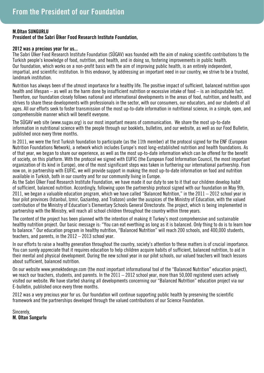#### **M.Oltan SUNGURLU**

#### **President of the Sabri Ülker Food Research Institute Foundation,**

#### **2012 was a precious year for us...**

The Sabri Ülker Food Research Institute Foundation (SÜGAV) was founded with the aim of making scientific contributions to the Turkish people's knowledge of food, nutrition, and health, and in doing so, fostering improvements in public health. Our foundation, which works on a non-profit basis with the aim of improving public health, is an entirely independent, impartial, and scientific institution. In this endeavor, by addressing an important need in our country, we strive to be a trusted, landmark institution.

Nutrition has always been of the utmost importance for a healthy life. The positive impact of sufficient, balanced nutrition upon health and lifespan – as well as the harm done by insufficient nutrition or excessive intake of food – is an indisputable fact. Therefore, our foundation closely follows national and international developments in the areas of food, nutrition, and health, and strives to share these developments with professionals in the sector, with our consumers, our educators, and our students of all ages. All our efforts seek to foster transmission of the most up-to-date information in nutritional science, in a simple, open, and comprehensible manner which will benefit everyone.

The SÜGAV web site (www.sugav.org) is our most important means of communication. We share the most up-to-date information in nutritional science with the people through our booklets, bulletins, and our website, as well as our Food Bulletin, published once every three months.

In 2011, we were the first Turkish foundation to participate (as the 11th member) at the protocol signed for the ENF (European Nutrition Foundations Network), a network which includes Europe's most long-established nutrition and health foundations. As of that year, we began to share our experience, as well as the most up-to-date information which can be offered for the benefit of society, on this platform. With the protocol we signed with EUFIC (the European Food Information Council, the most important organization of its kind in Europe), one of the most significant steps was taken in furthering our international partnership. From now on, in partnership with EUFIC, we will provide support in making the most up-to-date information on food and nutrition available in Turkish, both in our country and for our community living in Europe.

As the Sabri Ülker Food Research Institute Foundation, we have made it our duty to see to it that our children develop habit of sufficient, balanced nutrition. Accordingly, following upon the partnership protocol signed with our foundation on May 9th, 2011, we began a valuable education program, which we have called "Balanced Nutrition," in the 2011 – 2012 school year in four pilot provinces (Istanbul, Izmir, Gaziantep, and Trabzon) under the auspices of the Ministry of Education, with the valued contribution of the Ministry of Education's Elementary Schools General Directorate. The project, which is being implemented in partnership with the Ministry, will reach all school children throughout the country within three years.

The content of the project has been planned with the intention of making it Turkey's most comprehensive and sustainable healthy nutrition project. Our basic message is: "You can eat everthing as long as it is balanced. Only thing to do is to learn how to balance." Our education program in healthy nutrition, "Balanced Nutrition" will reach 200 schools, and 400,000 students, teachers, and parents, in the 2012 – 2013 school year.

In our efforts to raise a healthy generation throughout the country, society's attention to these matters is of crucial importance. You can surely appreciate that it requires education to help children acquire habits of sufficient, balanced nutrition, to aid in their mental and physical development. During the new school year in our pilot schools, our valued teachers will teach lessons about sufficient, balanced nutrition.

On our website www.yemektedenge.com (the most important informational tool of the "Balanced Nutrition" education project), we reach our teachers, students, and parents. In the 2011 – 2012 school year, more than 50,000 registered users actively visited our website. We have started sharing all developments concerning our "Balanced Nutrition" education project via our E-bulletin, published once every three months.

2012 was a very precious year for us. Our foundation will continue supporting public health by preserving the scientific framework and the partnerships developed through the valued contributions of our Science Foundation.

Sincerely, **M. Oltan Sungurlu**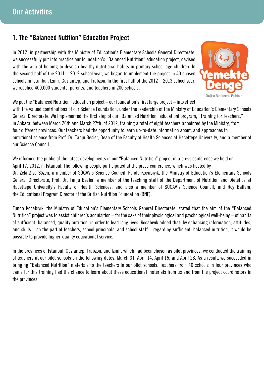#### **1. The "Balanced Nutition" Education Project**

In 2012, in partnership with the Ministry of Education's Elementary Schools General Directorate, we successfully put into practice our foundation's "Balanced Nutrition" education project, devised with the aim of helping to develop healthy nutritional habits in primary school age children. In the second half of the  $2011 - 2012$  school year, we began to implement the project in 40 chosen schools in Istanbul, Izmir, Gaziantep, and Trabzon. In the first half of the 2012 – 2013 school year, we reached 400,000 students, parents, and teachers in 200 schools.



Doğru Beslenme Rehber

We put the "Balanced Nutrition" education project – our foundation's first large project – into effect with the valued contributions of our Science Foundation, under the leadership of the Ministry of Education's Elementary Schools General Directorate. We implemented the first step of our "Balanced Nutrition" educationl program, "Training for Teachers," in Ankara, between March 26th and March 27th of 2012, training a total of eight teachers appointed by the Ministry, from four different provinces. Our teachers had the opportunity to learn up-to-date information about, and approaches to, nutritional science from Prof. Dr. Tanju Besler, Dean of the Faculty of Health Sciences at Hacettepe University, and a member of our Science Council.

We informed the public of the latest developments in our "Balanced Nutrition" project in a press conference we held on April 17, 2012, in Istanbul. The following people participated at the press conference, which was hosted by Dr. Zeki Ziya Sözen, a member of SÜGAV's Science Council: Funda Kocabıyık, the Ministry of Education's Elementary Schools General Directorate; Prof. Dr. Tanju Besler, a member of the teaching staff of the Department of Nutrition and Dietetics at Hacettepe University's Faculty of Health Sciences, and also a member of SÜGAV's Science Council; and Roy Ballam, the Educational Program Director of the British Nutrition Foundation (BNF).

Funda Kocabıyık, the Ministry of Education's Elementary Schools General Directorate, stated that the aim of the "Balanced Nutrition" project was to assist children's acquisition – for the sake of their physiological and psychological well-being – of habits of sufficient, balanced, quality nutrition, in order to lead long lives. Kocabıyık added that, by enhancing information, attitudes, and skills – on the part of teachers, school principals, and school staff – regarding sufficient, balanced nutrition, it would be possible to provide higher-quality educational service.

In the provinces of Istanbul, Gaziantep, Trabzon, and Izmir, which had been chosen as pilot provinces, we conducted the training of teachers at our pilot schools on the following dates: March 31, April 14, April 15, and April 28. As a result, we succeeded in bringing "Balanced Nutrition" materials to the teachers in our pilot schools. Teachers from 40 schools in four provinces who came for this training had the chance to learn about these educational materials from us and from the project coordinators in the provinces.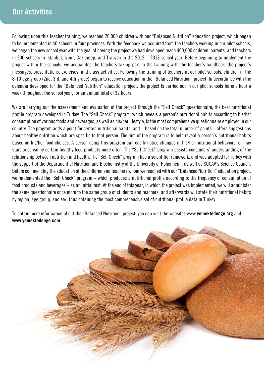Following upon this teacher training, we reached 20,000 children with our "Balanced Nutrition" education project, which began to be implemented in 40 schools in four provinces. With the feedback we acquired from the teachers working in our pilot schools, we began the new school year with the goal of having the project we had developed reach 400,000 children, parents, and teachers in 200 schools in Istanbul, Izmir, Gaziantep, and Trabzon in the 2012 – 2013 school year. Before beginning to implement the project within the schools, we acquainted the teachers taking part in the training with the teacher's handbook, the project's messages, presentations, exercises, and class activities. Following the training of teachers at our pilot schools, children in the 8-10 age group (2nd, 3rd, and 4th grade) began to receive education in the "Balanced Nutrition" project. In accordance with the calendar developed for the "Balanced Nutrition" education project, the project is carried out in our pilot schools for one hour a week throughout the school year, for an annual total of 32 hours.

We are carrying out the assessment and evaluation of the project through the "Self Check" questionnaire, the best nutritional profile program developed in Turkey. The "Self Check" program, which reveals a person's nutritional habits according to his/her consumption of various foods and beverages, as well as his/her lifestyle, is the most comprehensive questionnaire employed in our country. The program adds a point for certain nutritional habits, and – based on the total number of points – offers suggestions about healthy nutrition which are specific to that person. The aim of the program is to help reveal a person's nutritional habits based on his/her food choices. A person using this program can easily notice changes in his/her nutritional behaviors, or may start to consume certain healthy food products more often. The "Self Check" program assists consumers' understanding of the relationship between nutrition and health. The "Self Check" program has a scientific framework, and was adapted for Turkey with the support of the Department of Nutrition and Biochemistry of the University of Hohenheim, as well as SÜGAV's Science Council. Before commencing the education of the children and teachers whom we reached with our "Balanced Nutrition" education project, we implemented the "Self Check" program – which produces a nutritional profile according to the frequency of consumption of food products and beverages – as an initial test. At the end of this year, in which the project was implemented, we will administer the same questionnaire once more to the same group of students and teachers, and afterwards will state their nutritional habits by region, age group, and sex, thus obtaining the most comprehensive set of nutritional profile data in Turkey.

To obtain more information about the "Balanced Nutrition" project, you can visit the websites www.**yemektedenge.org** and **www.yemektedenge.com.** 

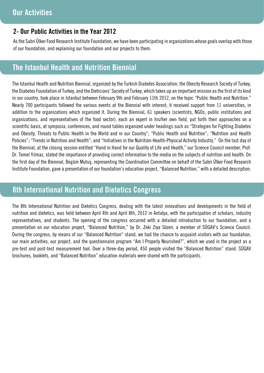#### **2- Our Public Activities in the Year 2012**

As the Sabri Ülker Food Research Institute Foundation, we have been participating in organizations whose goals overlap with those of our foundation, and explaining our foundation and our projects to them.

## **The Istanbul Health and Nutrition Biennial**

The Istanbul Health and Nutrition Biennial, organized by the Turkish Diabetes Association, the Obesity Research Society of Turkey, the Diabetes Foundation of Turkey, and the Dieticians' Society of Turkey, which takes up an important mission as the first of its kind in our country, took place in Istanbul between February 9th and February 11th 2012, on the topic "Public Health and Nutrition." Nearly 700 participants followed the various events at the Biennial with interest; it received support from 11 universities, in addition to the organizations which organized it. During the Biennial, 61 speakers (scientists, NGOs, public institutions and organizations, and representatives of the food sector), each an expert in his/her own field, put forth their approaches on a scientific basis, at symposia, conferences, and round tables organized under headings such as "Strategies for Fighting Diabetes and Obesity, Threats to Public Health in the World and in our Country"; "Public Health and Nutrition"; "Nutrition and Health Policies"; "Trends in Nutrition and Health"; and "Initiatives in the Nutrition-Health-Physical Activity Industry." On the last day of the Biennial, at the closing session entitled "Hand in Hand for our Quality of Life and Health," our Science Council member, Prof. Dr. Temel Yılmaz, stated the importance of providing correct information to the media on the subjects of nutrition and health. On the first day of the Biennial, Begüm Mutuş, representing the Coordination Committee on behalf of the Sabri Ülker Food Research Institute Foundation, gave a presentation of our foundation's education project, "Balanced Nutrition," with a detailed description.

#### **8th International Nutrition and Dietetics Congress**

The 8th International Nutrition and Dietetics Congress, dealing with the latest innovations and developments in the field of nutrition and dietetics, was held between April 4th and April 8th, 2012 in Antalya, with the participation of scholars, industry representatives, and students. The opening of the congress occurred with a detailed introduction to our foundation, and a presentation on our education project, "Balanced Nutrition," by Dr. Zeki Ziya Sözen, a member of SÜGAV's Science Council. During the congress, by means of our "Balanced Nutrition" stand, we had the chance to acquaint visitors with our foundation, our main activities, our project, and the questionnaire program "Am I Properly Nourished?", which we used in the project as a pre-test and post-test measurement tool. Over a three-day period, 450 people visited the "Balanced Nutrition" stand. SÜGAV brochures, booklets, and "Balanced Nutrition" education materials were shared with the participants.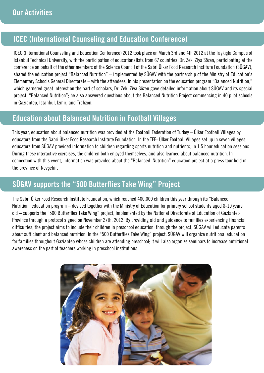## **ICEC (International Counseling and Education Conference)**

ICEC (International Counseling and Education Conference) 2012 took place on March 3rd and 4th 2012 at the Taşkışla Campus of Istanbul Technical University, with the participation of educationalists from 67 countries. Dr. Zeki Ziya Sözen, participating at the conference on behalf of the other members of the Science Council of the Sabri Ülker Food Research Institute Foundation (SÜGAV), shared the education project "Balanced Nutrition" – implemented by SÜGAV with the partnership of the Ministry of Education's Elementary Schools General Directorate – with the attendees. In his presentation on the education program "Balanced Nutrition," which garnered great interest on the part of scholars, Dr. Zeki Ziya Sözen gave detailed information about SÜGAV and its special project, "Balanced Nutrition"; he also answered questions about the Balanced Nutrition Project commencing in 40 pilot schools in Gaziantep, Istanbul, Izmir, and Trabzon.

## **Education about Balanced Nutrition in Football Villages**

This year, education about balanced nutrition was provided at the Football Federation of Turkey – Ülker Football Villages by educators from the Sabri Ülker Food Research Institute Foundation. In the TFF- Ülker Football Villages set up in seven villages, educators from SÜGAV provided information to children regarding sports nutrition and nutrients, in 1.5 hour education sessions. During these interactive exercises, the children both enjoyed themselves, and also learned about balanced nutrition. In connection with this event, information was provided about the "Balanced Nutrition" education project at a press tour held in the province of Nevşehir.

## **SÜGAV supports the "500 Butterflies Take Wing" Project**

The Sabri Ülker Food Research Institute Foundation, which reached 400,000 children this year through its "Balanced Nutrition" education program – devised together with the Ministry of Education for primary school students aged 8-10 years old – supports the "500 Butterflies Take Wing" project, implemented by the National Directorate of Education of Gaziantep Province through a protocol signed on November 27th, 2012. By providing aid and guidance to families experiencing financial difficulties, the project aims to include their children in preschool education; through the project, SÜGAV will educate parents about sufficient and balanced nutrition. In the "500 Butterflies Take Wing" project, SÜGAV will organize nutritional education for families throughout Gaziantep whose children are attending preschool; it will also organize seminars to increase nutritional awareness on the part of teachers working in preschool institutions.

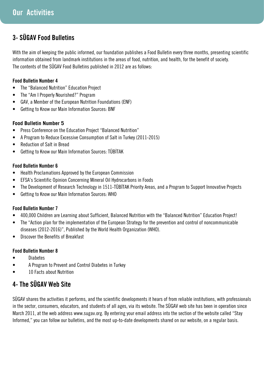## **3- SÜGAV Food Bulletins**

With the aim of keeping the public informed, our foundation publishes a Food Bulletin every three months, presenting scientific information obtained from landmark institutions in the areas of food, nutrition, and health, for the benefit of society. The contents of the SÜGAV Food Bulletins published in 2012 are as follows:

#### **Food Bulletin Number 4**

- The "Balanced Nutrition" Education Project
- The "Am I Properly Nourished?" Program
- GAV, a Member of the European Nutrition Foundations (ENF)
- Getting to Know our Main Information Sources: BNF

#### **Food Bulletin Number 5**

- Press Conference on the Education Project "Balanced Nutrition"
- A Program to Reduce Excessive Consumption of Salt in Turkey (2011-2015)
- • Reduction of Salt in Bread
- • Getting to Know our Main Information Sources: TÜBİTAK

#### **Food Bulletin Number 6**

- Health Proclamations Approved by the European Commission
- EFSA's Scientific Opinion Concerning Mineral Oil Hydrocarbons in Foods
- The Development of Research Technology in 1511-TÜBİTAK Priority Areas, and a Program to Support Innovative Projects
- Getting to Know our Main Information Sources: WHO

#### **Food Bulletin Number 7**

- 400,000 Children are Learning about Sufficient, Balanced Nutrition with the "Balanced Nutrition" Education Project!
- The "Action plan for the implementation of the European Strategy for the prevention and control of noncommunicable diseases (2012-2016)", Published by the World Health Organization (WHO).
- • Discover the Benefits of Breakfast

#### **Food Bulletin Number 8**

- • Diabetes
- • A Program to Prevent and Control Diabetes in Turkey
- 10 Facts about Nutrition

## **4- The SÜGAV Web Site**

SÜGAV shares the activities it performs, and the scientific developments it hears of from reliable institutions, with professionals in the sector, consumers, educators, and students of all ages, via its website. The SÜGAV web site has been in operation since March 2011, at the web address www.sugav.org. By entering your email address into the section of the website called "Stay Informed," you can follow our bulletins, and the most up-to-date developments shared on our website, on a regular basis.